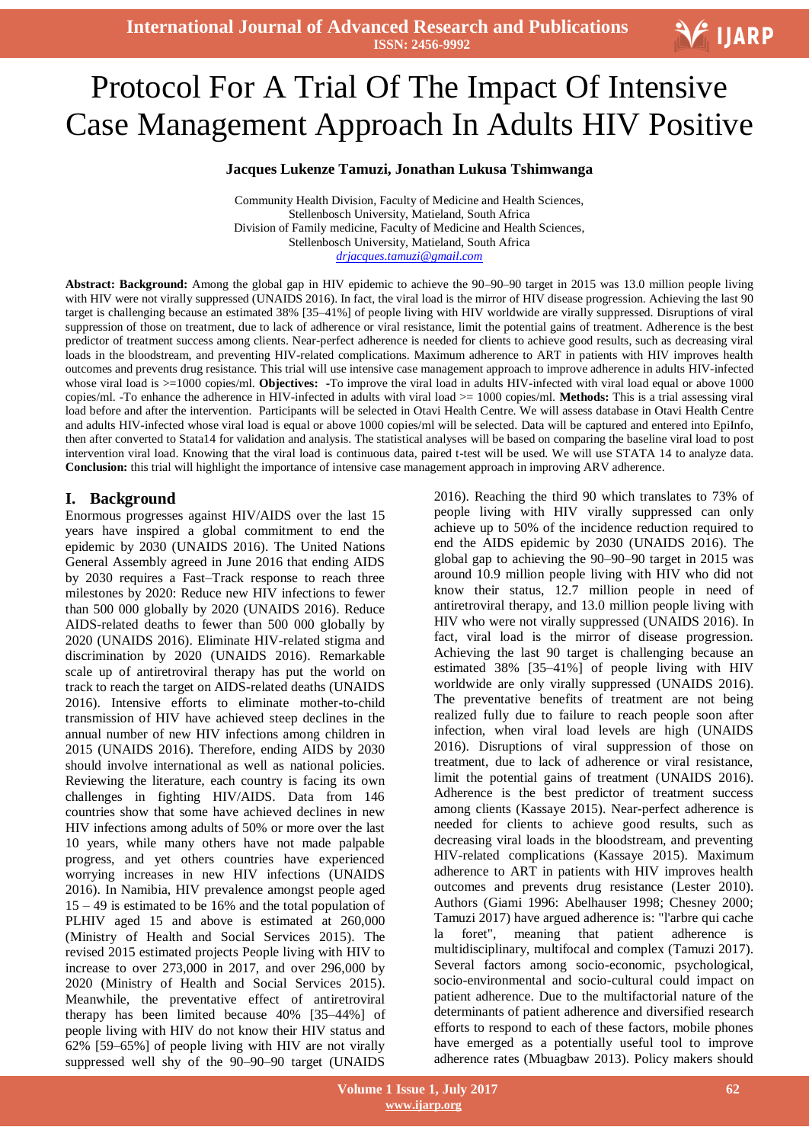

# j<br>L Protocol For A Trial Of The Impact Of Intensive Case Management Approach In Adults HIV Positive

#### **Jacques Lukenze Tamuzi, Jonathan Lukusa Tshimwanga**

Community Health Division, Faculty of Medicine and Health Sciences, Stellenbosch University, Matieland, South Africa Division of Family medicine, Faculty of Medicine and Health Sciences, Stellenbosch University, Matieland, South Africa *[drjacques.tamuzi@gmail.com](mailto:drjacques.tamuzi@gmail.com)*

**Abstract: Background:** Among the global gap in HIV epidemic to achieve the 90–90–90 target in 2015 was 13.0 million people living with HIV were not virally suppressed [\(UNAIDS 2016\)](file:///C:/Users/DOC/Documents/Doc%20combination/UNAIDS%202016). In fact, the viral load is the mirror of HIV disease progression. Achieving the last 90 target is challenging because an estimated 38% [35–41%] of people living with HIV worldwide are virally suppressed. Disruptions of viral suppression of those on treatment, due to lack of adherence or viral resistance, limit the potential gains of treatment. Adherence is the best predictor of treatment success among clients. Near-perfect adherence is needed for clients to achieve good results, such as decreasing viral loads in the bloodstream, and preventing HIV-related complications. Maximum adherence to ART in patients with HIV improves health outcomes and prevents drug resistance. This trial will use intensive case management approach to improve adherence in adults HIV-infected whose viral load is  $>=1000$  copies/ml. **Objectives:** -To improve the viral load in adults HIV-infected with viral load equal or above 1000 copies/ml. -To enhance the adherence in HIV-infected in adults with viral load >= 1000 copies/ml. **Methods:** This is a trial assessing viral load before and after the intervention. Participants will be selected in Otavi Health Centre. We will assess database in Otavi Health Centre and adults HIV-infected whose viral load is equal or above 1000 copies/ml will be selected. Data will be captured and entered into EpiInfo, then after converted to Stata14 for validation and analysis. The statistical analyses will be based on comparing the baseline viral load to post intervention viral load. Knowing that the viral load is continuous data, paired t-test will be used. We will use STATA 14 to analyze data. **Conclusion:** this trial will highlight the importance of intensive case management approach in improving ARV adherence.

### **I. Background**

Enormous progresses against HIV/AIDS over the last 15 years have inspired a global commitment to end the epidemic by 2030 [\(UNAIDS 2016\)](file:///C:/Users/DOC/Documents/Doc%20combination/UNAIDS%202016). The United Nations General Assembly agreed in June 2016 that ending AIDS by 2030 requires a Fast–Track response to reach three milestones by 2020: Reduce new HIV infections to fewer than 500 000 globally by 2020 [\(UNAIDS 2016\)](file:///C:/Users/DOC/Documents/Doc%20combination/UNAIDS%202016). Reduce AIDS-related deaths to fewer than 500 000 globally by 2020 [\(UNAIDS 2016\)](file:///C:/Users/DOC/Documents/Doc%20combination/UNAIDS%202016). Eliminate HIV-related stigma and discrimination by 2020 [\(UNAIDS 2016\)](file:///C:/Users/DOC/Documents/Doc%20combination/UNAIDS%202016). Remarkable scale up of antiretroviral therapy has put the world on track to reach the target on AIDS-related deaths [\(UNAIDS](file:///C:/Users/DOC/Documents/Doc%20combination/UNAIDS%202016)  [2016\)](file:///C:/Users/DOC/Documents/Doc%20combination/UNAIDS%202016). Intensive efforts to eliminate mother-to-child transmission of HIV have achieved steep declines in the annual number of new HIV infections among children in 2015 [\(UNAIDS 2016\)](file:///C:/Users/DOC/Documents/Doc%20combination/UNAIDS%202016). Therefore, ending AIDS by 2030 should involve international as well as national policies. Reviewing the literature, each country is facing its own challenges in fighting HIV/AIDS. Data from 146 countries show that some have achieved declines in new HIV infections among adults of 50% or more over the last 10 years, while many others have not made palpable progress, and yet others countries have experienced worrying increases in new HIV infections [\(UNAIDS](file:///C:/Users/DOC/Documents/Doc%20combination/UNAIDS%202016)  [2016\)](file:///C:/Users/DOC/Documents/Doc%20combination/UNAIDS%202016). In Namibia, HIV prevalence amongst people aged 15 – 49 is estimated to be 16% and the total population of PLHIV aged 15 and above is estimated at 260,000 [\(Ministry of Health and Social Services 2015\)](file:///C:/Users/DOC/Documents/Doc%20combination/Ministry%20of%20Health%20and%20Social%20Services%202015). The revised 2015 estimated projects People living with HIV to increase to over 273,000 in 2017, and over 296,000 by 2020 [\(Ministry of Health and Social Services 2015\)](file:///C:/Users/DOC/Documents/Doc%20combination/Ministry%20of%20Health%20and%20Social%20Services%202015). Meanwhile, the preventative effect of antiretroviral therapy has been limited because 40% [35–44%] of people living with HIV do not know their HIV status and 62% [59–65%] of people living with HIV are not virally suppressed well shy of the 90–90–90 target [\(UNAIDS](file:///C:/Users/DOC/Documents/Doc%20combination/UNAIDS%202016) 

[2016\)](file:///C:/Users/DOC/Documents/Doc%20combination/UNAIDS%202016). Reaching the third 90 which translates to 73% of people living with HIV virally suppressed can only achieve up to 50% of the incidence reduction required to end the AIDS epidemic by 2030 [\(UNAIDS 2016\)](file:///C:/Users/DOC/Documents/Doc%20combination/UNAIDS%202016). The global gap to achieving the 90–90–90 target in 2015 was around 10.9 million people living with HIV who did not know their status, 12.7 million people in need of antiretroviral therapy, and 13.0 million people living with HIV who were not virally suppressed [\(UNAIDS 2016\)](file:///C:/Users/DOC/Documents/Doc%20combination/UNAIDS%202016). In fact, viral load is the mirror of disease progression. Achieving the last 90 target is challenging because an estimated 38% [35–41%] of people living with HIV worldwide are only virally suppressed [\(UNAIDS 2016\)](file:///C:/Users/DOC/Documents/Doc%20combination/UNAIDS%202016). The preventative benefits of treatment are not being realized fully due to failure to reach people soon after infection, when viral load levels are high [\(UNAIDS](file:///C:/Users/DOC/Documents/Doc%20combination/UNAIDS%202016)  [2016\)](file:///C:/Users/DOC/Documents/Doc%20combination/UNAIDS%202016). Disruptions of viral suppression of those on treatment, due to lack of adherence or viral resistance, limit the potential gains of treatment [\(UNAIDS 2016\)](file:///C:/Users/DOC/Documents/Doc%20combination/UNAIDS%202016). Adherence is the best predictor of treatment success among clients [\(Kassaye 2015\)](file:///C:/Users/DOC/Documents/Doc%20combination/Kassaye%202015). Near-perfect adherence is needed for clients to achieve good results, such as decreasing viral loads in the bloodstream, and preventing HIV-related complications [\(Kassaye 2015\)](file:///C:/Users/DOC/Documents/Doc%20combination/Kassaye%202015). Maximum adherence to ART in patients with HIV improves health outcomes and prevents drug resistance [\(Lester 2010\)](file:///C:/Users/DOC/Documents/Doc%20combination/Lester%202010). Authors (Giami 1996: Abelhauser 1998; Chesney 2000; [Tamuzi 2017\)](file:///C:/Users/DOC/Documents/Doc%20combination/Tamuzi%202017) have argued adherence is: "l'arbre qui cache la foret", meaning that patient adherence is multidisciplinary, multifocal and complex [\(Tamuzi 2017\)](file:///C:/Users/DOC/Documents/Doc%20combination/Tamuzi%202017). Several factors among socio-economic, psychological, socio-environmental and socio-cultural could impact on patient adherence. Due to the multifactorial nature of the determinants of patient adherence and diversified research efforts to respond to each of these factors, mobile phones have emerged as a potentially useful tool to improve adherence rates [\(Mbuagbaw](file:///C:/Users/DOC/Documents/Doc%20combination/Mbuagbaw%202013) 2013). Policy makers should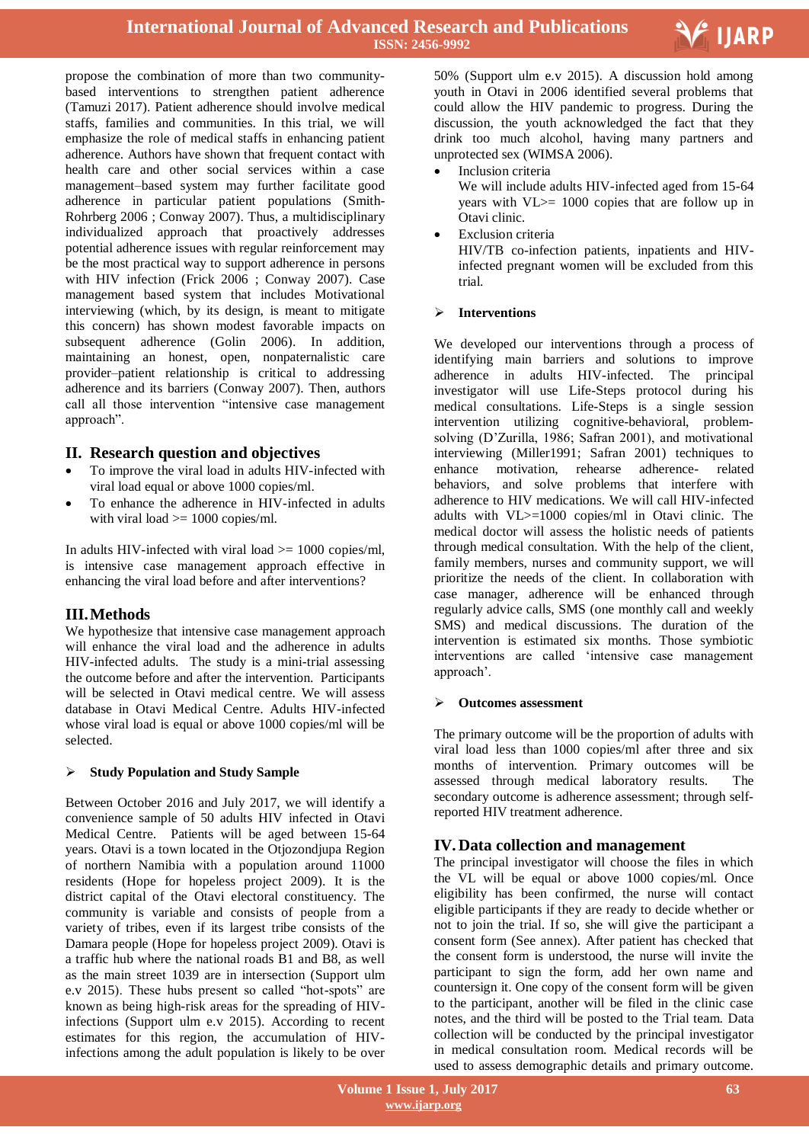

propose the combination of more than two communitybased interventions to strengthen patient adherence [\(Tamuzi 2017\)](file:///C:/Users/DOC/Documents/Doc%20combination/Tamuzi%202017). Patient adherence should involve medical staffs, families and communities. In this trial, we will emphasize the role of medical staffs in enhancing patient adherence. Authors have shown that frequent contact with health care and other social services within a case management–based system may further facilitate good adherence in particular patient populations [\(Smith-](file:///C:/Users/DOC/Documents/Doc%20combination/Smith-Rohrberg%202006)[Rohrberg 2006](file:///C:/Users/DOC/Documents/Doc%20combination/Smith-Rohrberg%202006) ; [Conway 2007\)](file:///C:/Users/DOC/Documents/Doc%20combination/Conway%202007). Thus, a multidisciplinary individualized approach that proactively addresses potential adherence issues with regular reinforcement may be the most practical way to support adherence in persons with HIV infection [\(Frick 2006](file:///C:/Users/DOC/Documents/Doc%20combination/Frick%202006) ; [Conway 2007\)](file:///C:/Users/DOC/Documents/Doc%20combination/Conway%202007). Case management based system that includes Motivational interviewing (which, by its design, is meant to mitigate this concern) has shown modest favorable impacts on subsequent adherence [\(Golin 2006\)](file:///C:/Users/DOC/Documents/Doc%20combination/Golin%202006). In addition, maintaining an honest, open, nonpaternalistic care provider–patient relationship is critical to addressing adherence and its barriers [\(Conway 2007\)](file:///C:/Users/DOC/Documents/Doc%20combination/Conway%202007). Then, authors call all those intervention "intensive case management approach".

### **II. Research question and objectives**

- To improve the viral load in adults HIV-infected with viral load equal or above 1000 copies/ml.
- To enhance the adherence in HIV-infected in adults with viral load  $\ge$  = 1000 copies/ml.

In adults HIV-infected with viral load >= 1000 copies/ml, is intensive case management approach effective in enhancing the viral load before and after interventions?

# **III.Methods**

We hypothesize that intensive case management approach will enhance the viral load and the adherence in adults HIV-infected adults. The study is a mini-trial assessing the outcome before and after the intervention. Participants will be selected in Otavi medical centre. We will assess database in Otavi Medical Centre. Adults HIV-infected whose viral load is equal or above 1000 copies/ml will be selected.

### **Study Population and Study Sample**

Between October 2016 and July 2017, we will identify a convenience sample of 50 adults HIV infected in Otavi Medical Centre. Patients will be aged between 15-64 years. Otavi is a town located in the Otjozondjupa Region of northern Namibia with a population around 11000 residents [\(Hope for hopeless project 2009\)](file:///C:/Users/DOC/Documents/Doc%20combination/Hope%20for%20hopeless%20project%202009). It is the district capital of the Otavi electoral constituency. The community is variable and consists of people from a variety of tribes, even if its largest tribe consists of the Damara people [\(Hope for hopeless project 2009\)](file:///C:/Users/DOC/Documents/Doc%20combination/Hope%20for%20hopeless%20project%202009). Otavi is a traffic hub where the national roads B1 and B8, as well as the main street 1039 are in intersection [\(Support ulm](file:///C:/Users/DOC/Documents/Doc%20combination/Support%20ulm%20e.v%202015)  [e.v 2015\)](file:///C:/Users/DOC/Documents/Doc%20combination/Support%20ulm%20e.v%202015). These hubs present so called "hot-spots" are known as being high-risk areas for the spreading of HIVinfections [\(Support ulm e.v 2015\)](file:///C:/Users/DOC/Documents/Doc%20combination/Support%20ulm%20e.v%202015). According to recent estimates for this region, the accumulation of HIVinfections among the adult population is likely to be over

 50% [\(Support ulm e.v 2015\)](file:///C:/Users/DOC/Documents/Doc%20combination/Support%20ulm%20e.v%202015). A discussion hold among youth in Otavi in 2006 identified several problems that could allow the HIV pandemic to progress. During the discussion, the youth acknowledged the fact that they drink too much alcohol, having many partners and unprotected sex [\(WIMSA 2006\)](file:///C:/Users/DOC/Documents/Doc%20combination/WIMSA%202006).

Inclusion criteria

We will include adults HIV-infected aged from 15-64 years with VL>= 1000 copies that are follow up in Otavi clinic.

 Exclusion criteria HIV/TB co-infection patients, inpatients and HIVinfected pregnant women will be excluded from this trial.

### **Interventions**

We developed our interventions through a process of identifying main barriers and solutions to improve adherence in adults HIV-infected. The principal investigator will use Life-Steps protocol during his medical consultations. Life-Steps is a single session intervention utilizing cognitive-behavioral, problemsolving (D"Zurilla, 1986; Safran 2001), and motivational interviewing (Miller1991; Safran 2001) techniques to enhance motivation, rehearse adherence- related behaviors, and solve problems that interfere with adherence to HIV medications. We will call HIV-infected adults with VL>=1000 copies/ml in Otavi clinic. The medical doctor will assess the holistic needs of patients through medical consultation. With the help of the client, family members, nurses and community support, we will prioritize the needs of the client. In collaboration with case manager, adherence will be enhanced through regularly advice calls, SMS (one monthly call and weekly SMS) and medical discussions. The duration of the intervention is estimated six months. Those symbiotic interventions are called "intensive case management approach".

### **Outcomes assessment**

The primary outcome will be the proportion of adults with viral load less than 1000 copies/ml after three and six months of intervention. Primary outcomes will be assessed through medical laboratory results. The secondary outcome is adherence assessment; through selfreported HIV treatment adherence.

# **IV. Data collection and management**

The principal investigator will choose the files in which the VL will be equal or above 1000 copies/ml. Once eligibility has been confirmed, the nurse will contact eligible participants if they are ready to decide whether or not to join the trial. If so, she will give the participant a consent form (See annex). After patient has checked that the consent form is understood, the nurse will invite the participant to sign the form, add her own name and countersign it. One copy of the consent form will be given to the participant, another will be filed in the clinic case notes, and the third will be posted to the Trial team. Data collection will be conducted by the principal investigator in medical consultation room. Medical records will be used to assess demographic details and primary outcome.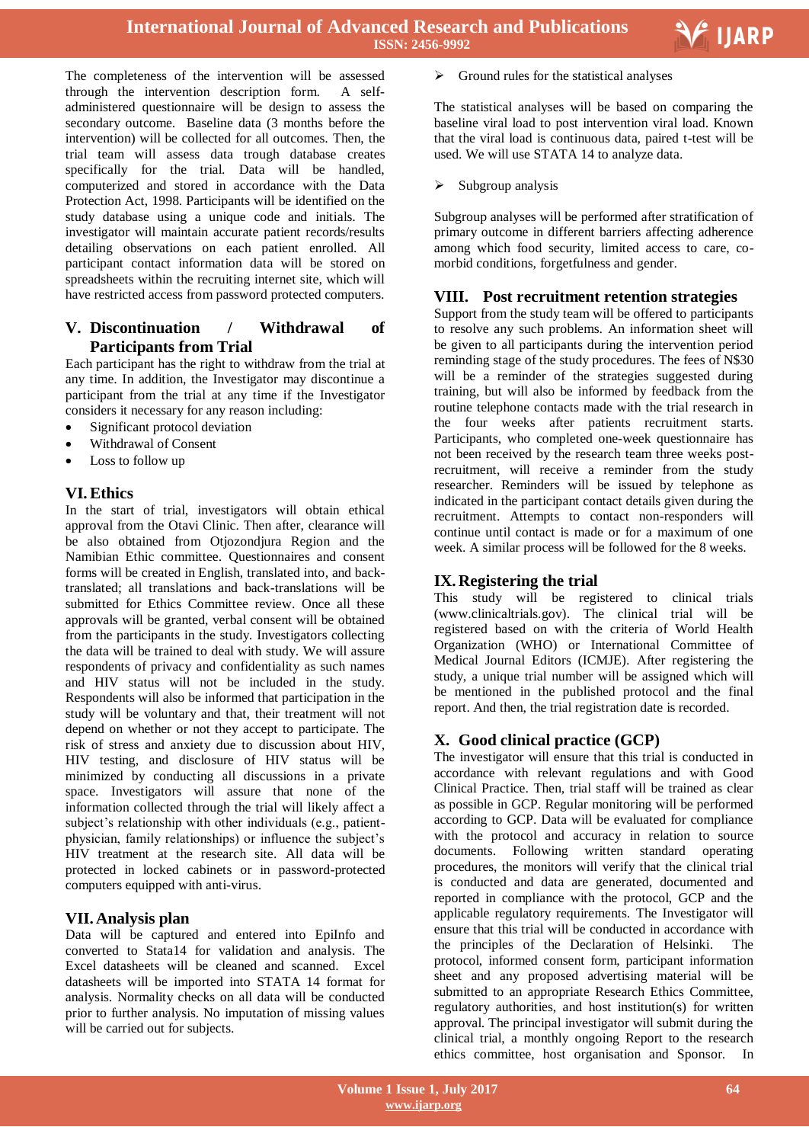The completeness of the intervention will be assessed through the intervention description form. A selfadministered questionnaire will be design to assess the secondary outcome. Baseline data (3 months before the intervention) will be collected for all outcomes. Then, the trial team will assess data trough database creates specifically for the trial. Data will be handled, computerized and stored in accordance with the Data Protection Act, 1998. Participants will be identified on the study database using a unique code and initials. The investigator will maintain accurate patient records/results detailing observations on each patient enrolled. All participant contact information data will be stored on spreadsheets within the recruiting internet site, which will have restricted access from password protected computers.

# **V. Discontinuation / Withdrawal of Participants from Trial**

Each participant has the right to withdraw from the trial at any time. In addition, the Investigator may discontinue a participant from the trial at any time if the Investigator considers it necessary for any reason including:

- Significant protocol deviation
- Withdrawal of Consent
- Loss to follow up

## **VI.Ethics**

In the start of trial, investigators will obtain ethical approval from the Otavi Clinic. Then after, clearance will be also obtained from Otjozondjura Region and the Namibian Ethic committee. Questionnaires and consent forms will be created in English, translated into, and backtranslated; all translations and back-translations will be submitted for Ethics Committee review. Once all these approvals will be granted, verbal consent will be obtained from the participants in the study. Investigators collecting the data will be trained to deal with study. We will assure respondents of privacy and confidentiality as such names and HIV status will not be included in the study. Respondents will also be informed that participation in the study will be voluntary and that, their treatment will not depend on whether or not they accept to participate. The risk of stress and anxiety due to discussion about HIV, HIV testing, and disclosure of HIV status will be minimized by conducting all discussions in a private space. Investigators will assure that none of the information collected through the trial will likely affect a subject's relationship with other individuals (e.g., patientphysician, family relationships) or influence the subject"s HIV treatment at the research site. All data will be protected in locked cabinets or in password-protected computers equipped with anti-virus.

# **VII. Analysis plan**

Data will be captured and entered into EpiInfo and converted to Stata14 for validation and analysis. The Excel datasheets will be cleaned and scanned. Excel datasheets will be imported into STATA 14 format for analysis. Normality checks on all data will be conducted prior to further analysis. No imputation of missing values will be carried out for subjects.

 $\triangleright$  Ground rules for the statistical analyses

The statistical analyses will be based on comparing the baseline viral load to post intervention viral load. Known that the viral load is continuous data, paired t-test will be used. We will use STATA 14 to analyze data.

Subgroup analysis

Subgroup analyses will be performed after stratification of primary outcome in different barriers affecting adherence among which food security, limited access to care, comorbid conditions, forgetfulness and gender.

## **VIII. Post recruitment retention strategies**

Support from the study team will be offered to participants to resolve any such problems. An information sheet will be given to all participants during the intervention period reminding stage of the study procedures. The fees of N\$30 will be a reminder of the strategies suggested during training, but will also be informed by feedback from the routine telephone contacts made with the trial research in the four weeks after patients recruitment starts. Participants, who completed one-week questionnaire has not been received by the research team three weeks postrecruitment, will receive a reminder from the study researcher. Reminders will be issued by telephone as indicated in the participant contact details given during the recruitment. Attempts to contact non-responders will continue until contact is made or for a maximum of one week. A similar process will be followed for the 8 weeks.

# **IX. Registering the trial**

This study will be registered to clinical trials (www.clinicaltrials.gov). The clinical trial will be registered based on with the criteria of World Health Organization (WHO) or International Committee of Medical Journal Editors (ICMJE). After registering the study, a unique trial number will be assigned which will be mentioned in the published protocol and the final report. And then, the trial registration date is recorded.

# **X. Good clinical practice (GCP)**

The investigator will ensure that this trial is conducted in accordance with relevant regulations and with Good Clinical Practice. Then, trial staff will be trained as clear as possible in GCP. Regular monitoring will be performed according to GCP. Data will be evaluated for compliance with the protocol and accuracy in relation to source documents. Following written standard operating procedures, the monitors will verify that the clinical trial is conducted and data are generated, documented and reported in compliance with the protocol, GCP and the applicable regulatory requirements. The Investigator will ensure that this trial will be conducted in accordance with the principles of the Declaration of Helsinki. The protocol, informed consent form, participant information sheet and any proposed advertising material will be submitted to an appropriate Research Ethics Committee, regulatory authorities, and host institution(s) for written approval. The principal investigator will submit during the clinical trial, a monthly ongoing Report to the research ethics committee, host organisation and Sponsor. In